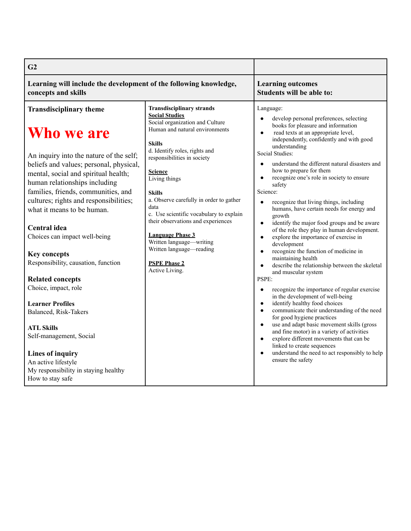| G <sub>2</sub>                                                                                                                                                                                                                                                                                                                                                                                                                                                                                                                                                                                                                                                                                          |                                                                                                                                                                                                                                                                                                                                                                                                                                                                                                                                     |                                                                                                                                                                                                                                                                                                                                                                                                                                                                                                                                                                                                                                                                                                                                                                                                                                                                                                                                                                                                                                                                                                                                                                                                                                                                                                                                               |
|---------------------------------------------------------------------------------------------------------------------------------------------------------------------------------------------------------------------------------------------------------------------------------------------------------------------------------------------------------------------------------------------------------------------------------------------------------------------------------------------------------------------------------------------------------------------------------------------------------------------------------------------------------------------------------------------------------|-------------------------------------------------------------------------------------------------------------------------------------------------------------------------------------------------------------------------------------------------------------------------------------------------------------------------------------------------------------------------------------------------------------------------------------------------------------------------------------------------------------------------------------|-----------------------------------------------------------------------------------------------------------------------------------------------------------------------------------------------------------------------------------------------------------------------------------------------------------------------------------------------------------------------------------------------------------------------------------------------------------------------------------------------------------------------------------------------------------------------------------------------------------------------------------------------------------------------------------------------------------------------------------------------------------------------------------------------------------------------------------------------------------------------------------------------------------------------------------------------------------------------------------------------------------------------------------------------------------------------------------------------------------------------------------------------------------------------------------------------------------------------------------------------------------------------------------------------------------------------------------------------|
| Learning will include the development of the following knowledge,<br>concepts and skills                                                                                                                                                                                                                                                                                                                                                                                                                                                                                                                                                                                                                |                                                                                                                                                                                                                                                                                                                                                                                                                                                                                                                                     | <b>Learning outcomes</b><br>Students will be able to:                                                                                                                                                                                                                                                                                                                                                                                                                                                                                                                                                                                                                                                                                                                                                                                                                                                                                                                                                                                                                                                                                                                                                                                                                                                                                         |
| <b>Transdisciplinary theme</b><br>Who we are<br>An inquiry into the nature of the self;<br>beliefs and values; personal, physical,<br>mental, social and spiritual health;<br>human relationships including<br>families, friends, communities, and<br>cultures; rights and responsibilities;<br>what it means to be human.<br>Central idea<br>Choices can impact well-being<br><b>Key concepts</b><br>Responsibility, causation, function<br><b>Related concepts</b><br>Choice, impact, role<br><b>Learner Profiles</b><br>Balanced, Risk-Takers<br><b>ATL Skills</b><br>Self-management, Social<br>Lines of inquiry<br>An active lifestyle<br>My responsibility in staying healthy<br>How to stay safe | <b>Transdisciplinary strands</b><br><b>Social Studies</b><br>Social organization and Culture<br>Human and natural environments<br><b>Skills</b><br>d. Identify roles, rights and<br>responsibilities in society<br><b>Science</b><br>Living things<br><b>Skills</b><br>a. Observe carefully in order to gather<br>data<br>c. Use scientific vocabulary to explain<br>their observations and experiences<br><b>Language Phase 3</b><br>Written language—writing<br>Written language—reading<br><b>PSPE Phase 2</b><br>Active Living. | Language:<br>develop personal preferences, selecting<br>$\bullet$<br>books for pleasure and information<br>read texts at an appropriate level,<br>$\bullet$<br>independently, confidently and with good<br>understanding<br>Social Studies:<br>understand the different natural disasters and<br>$\bullet$<br>how to prepare for them<br>recognize one's role in society to ensure<br>safety<br>Science:<br>recognize that living things, including<br>humans, have certain needs for energy and<br>growth<br>identify the major food groups and be aware<br>$\bullet$<br>of the role they play in human development.<br>explore the importance of exercise in<br>$\bullet$<br>development<br>recognize the function of medicine in<br>$\bullet$<br>maintaining health<br>describe the relationship between the skeletal<br>and muscular system<br>PSPE:<br>recognize the importance of regular exercise<br>in the development of well-being<br>identify healthy food choices<br>$\bullet$<br>communicate their understanding of the need<br>for good hygiene practices<br>use and adapt basic movement skills (gross<br>and fine motor) in a variety of activities<br>explore different movements that can be<br>$\bullet$<br>linked to create sequences<br>understand the need to act responsibly to help<br>$\bullet$<br>ensure the safety |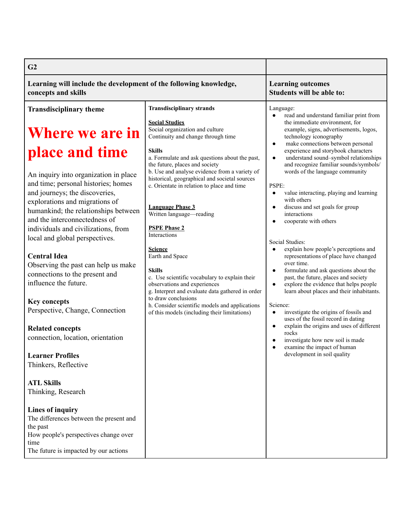| G <sub>2</sub>                                                                                                                                                                                                                                                                                                                                                                                                                                                                                                                                                                                                                                                                                              |                                                                                                                                                                                                                                                                                                                                                                                                                                                                                                                                                                                                                                                                                                                                                                                                           |                                                                                                                                                                                                                                                                                                                                                                                                                                                                                                                                                                                                                                                                                                                                                                                                                                                                                                                                                                                                                                                                                                                                                                                 |
|-------------------------------------------------------------------------------------------------------------------------------------------------------------------------------------------------------------------------------------------------------------------------------------------------------------------------------------------------------------------------------------------------------------------------------------------------------------------------------------------------------------------------------------------------------------------------------------------------------------------------------------------------------------------------------------------------------------|-----------------------------------------------------------------------------------------------------------------------------------------------------------------------------------------------------------------------------------------------------------------------------------------------------------------------------------------------------------------------------------------------------------------------------------------------------------------------------------------------------------------------------------------------------------------------------------------------------------------------------------------------------------------------------------------------------------------------------------------------------------------------------------------------------------|---------------------------------------------------------------------------------------------------------------------------------------------------------------------------------------------------------------------------------------------------------------------------------------------------------------------------------------------------------------------------------------------------------------------------------------------------------------------------------------------------------------------------------------------------------------------------------------------------------------------------------------------------------------------------------------------------------------------------------------------------------------------------------------------------------------------------------------------------------------------------------------------------------------------------------------------------------------------------------------------------------------------------------------------------------------------------------------------------------------------------------------------------------------------------------|
| Learning will include the development of the following knowledge,<br>concepts and skills                                                                                                                                                                                                                                                                                                                                                                                                                                                                                                                                                                                                                    |                                                                                                                                                                                                                                                                                                                                                                                                                                                                                                                                                                                                                                                                                                                                                                                                           | <b>Learning outcomes</b><br><b>Students will be able to:</b>                                                                                                                                                                                                                                                                                                                                                                                                                                                                                                                                                                                                                                                                                                                                                                                                                                                                                                                                                                                                                                                                                                                    |
| <b>Transdisciplinary theme</b><br><b>Where we are in</b><br>place and time<br>An inquiry into organization in place<br>and time; personal histories; homes<br>and journeys; the discoveries,<br>explorations and migrations of<br>humankind; the relationships between<br>and the interconnectedness of<br>individuals and civilizations, from<br>local and global perspectives.<br><b>Central Idea</b><br>Observing the past can help us make<br>connections to the present and<br>influence the future.<br><b>Key concepts</b><br>Perspective, Change, Connection<br><b>Related concepts</b><br>connection, location, orientation<br><b>Learner Profiles</b><br>Thinkers, Reflective<br><b>ATL Skills</b> | <b>Transdisciplinary strands</b><br><b>Social Studies</b><br>Social organization and culture<br>Continuity and change through time<br><b>Skills</b><br>a. Formulate and ask questions about the past,<br>the future, places and society<br>b. Use and analyse evidence from a variety of<br>historical, geographical and societal sources<br>c. Orientate in relation to place and time<br><b>Language Phase 3</b><br>Written language-reading<br><b>PSPE Phase 2</b><br>Interactions<br><b>Science</b><br>Earth and Space<br><b>Skills</b><br>c. Use scientific vocabulary to explain their<br>observations and experiences<br>g. Interpret and evaluate data gathered in order<br>to draw conclusions<br>h. Consider scientific models and applications<br>of this models (including their limitations) | Language:<br>read and understand familiar print from<br>the immediate environment, for<br>example, signs, advertisements, logos,<br>technology iconography<br>make connections between personal<br>$\bullet$<br>experience and storybook characters<br>understand sound-symbol relationships<br>$\bullet$<br>and recognize familiar sounds/symbols/<br>words of the language community<br>PSPE:<br>value interacting, playing and learning<br>$\bullet$<br>with others<br>discuss and set goals for group<br>$\bullet$<br>interactions<br>cooperate with others<br>Social Studies:<br>explain how people's perceptions and<br>representations of place have changed<br>over time.<br>formulate and ask questions about the<br>$\bullet$<br>past, the future, places and society<br>explore the evidence that helps people<br>$\bullet$<br>learn about places and their inhabitants.<br>Science:<br>investigate the origins of fossils and<br>$\bullet$<br>uses of the fossil record in dating<br>explain the origins and uses of different<br>$\bullet$<br>rocks<br>investigate how new soil is made<br>$\bullet$<br>examine the impact of human<br>development in soil quality |
| Thinking, Research<br><b>Lines of inquiry</b><br>The differences between the present and<br>the past<br>How people's perspectives change over<br>time<br>The future is impacted by our actions                                                                                                                                                                                                                                                                                                                                                                                                                                                                                                              |                                                                                                                                                                                                                                                                                                                                                                                                                                                                                                                                                                                                                                                                                                                                                                                                           |                                                                                                                                                                                                                                                                                                                                                                                                                                                                                                                                                                                                                                                                                                                                                                                                                                                                                                                                                                                                                                                                                                                                                                                 |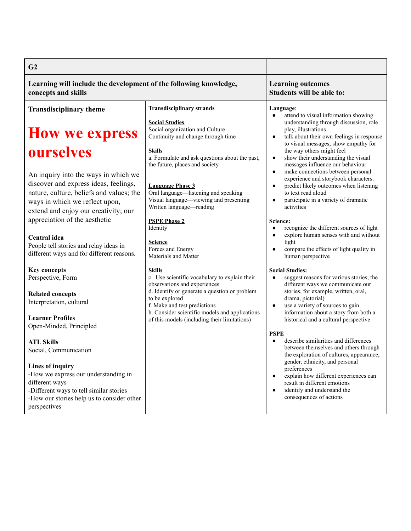| G <sub>2</sub>                                                                                                                                                                                      |                                                                                                                                       |                                                                                                                                                                                                                           |
|-----------------------------------------------------------------------------------------------------------------------------------------------------------------------------------------------------|---------------------------------------------------------------------------------------------------------------------------------------|---------------------------------------------------------------------------------------------------------------------------------------------------------------------------------------------------------------------------|
| Learning will include the development of the following knowledge,<br>concepts and skills                                                                                                            |                                                                                                                                       | <b>Learning outcomes</b><br>Students will be able to:                                                                                                                                                                     |
| <b>Transdisciplinary theme</b>                                                                                                                                                                      | <b>Transdisciplinary strands</b>                                                                                                      | Language:                                                                                                                                                                                                                 |
| <b>How we express</b>                                                                                                                                                                               | <b>Social Studies</b><br>Social organization and Culture<br>Continuity and change through time                                        | attend to visual information showing<br>understanding through discussion, role<br>play, illustrations<br>talk about their own feelings in response<br>$\bullet$<br>to visual messages; show empathy for                   |
| ourselves                                                                                                                                                                                           | <b>Skills</b><br>a. Formulate and ask questions about the past,<br>the future, places and society                                     | the way others might feel<br>show their understanding the visual<br>$\bullet$<br>messages influence our behaviour                                                                                                         |
| An inquiry into the ways in which we<br>discover and express ideas, feelings,<br>nature, culture, beliefs and values; the<br>ways in which we reflect upon,<br>extend and enjoy our creativity; our | <b>Language Phase 3</b><br>Oral language-listening and speaking<br>Visual language—viewing and presenting<br>Written language—reading | make connections between personal<br>$\bullet$<br>experience and storybook characters.<br>predict likely outcomes when listening<br>to text read aloud<br>participate in a variety of dramatic<br>$\bullet$<br>activities |
| appreciation of the aesthetic                                                                                                                                                                       | <b>PSPE Phase 2</b><br>Identity                                                                                                       | Science:<br>recognize the different sources of light                                                                                                                                                                      |
| Central idea<br>People tell stories and relay ideas in<br>different ways and for different reasons.                                                                                                 | <b>Science</b><br>Forces and Energy<br>Materials and Matter                                                                           | explore human senses with and without<br>light<br>compare the effects of light quality in<br>human perspective                                                                                                            |
| <b>Key concepts</b><br>Perspective, Form                                                                                                                                                            | <b>Skills</b><br>c. Use scientific vocabulary to explain their<br>observations and experiences                                        | <b>Social Studies:</b><br>suggest reasons for various stories; the<br>different ways we communicate our                                                                                                                   |
| <b>Related concepts</b><br>Interpretation, cultural                                                                                                                                                 | d. Identify or generate a question or problem<br>to be explored<br>f. Make and test predictions                                       | stories, for example, written, oral,<br>drama, pictorial)<br>use a variety of sources to gain<br>$\bullet$                                                                                                                |
| <b>Learner Profiles</b><br>Open-Minded, Principled                                                                                                                                                  | h. Consider scientific models and applications<br>of this models (including their limitations)                                        | information about a story from both a<br>historical and a cultural perspective                                                                                                                                            |
| <b>ATL Skills</b><br>Social, Communication                                                                                                                                                          |                                                                                                                                       | <b>PSPE</b><br>describe similarities and differences<br>$\bullet$<br>between themselves and others through<br>the exploration of cultures, appearance,                                                                    |
| Lines of inquiry<br>-How we express our understanding in<br>different ways<br>-Different ways to tell similar stories<br>-How our stories help us to consider other<br>perspectives                 |                                                                                                                                       | gender, ethnicity, and personal<br>preferences<br>explain how different experiences can<br>result in different emotions<br>identify and understand the<br>$\bullet$<br>consequences of actions                            |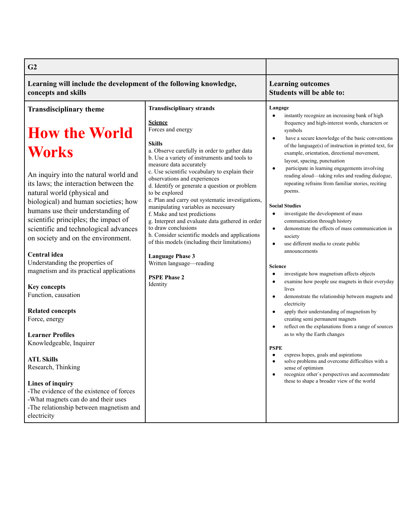| G <sub>2</sub>                                                                                                                                                                                                                                                                                                                                                                                                                                                                                                                                                                                                                             |                                                                                                                                                                                                                                                                                                                                                                                                                                                                                                                                                                                                                                                                                                                                                                           |                                                                                                                                                                                                                                                                                                                                                                                                                                                                                                                                                                                                                                                                                                                                                                                                                                                                                                                                                                                                                                                                                                                                                                                                                                                        |
|--------------------------------------------------------------------------------------------------------------------------------------------------------------------------------------------------------------------------------------------------------------------------------------------------------------------------------------------------------------------------------------------------------------------------------------------------------------------------------------------------------------------------------------------------------------------------------------------------------------------------------------------|---------------------------------------------------------------------------------------------------------------------------------------------------------------------------------------------------------------------------------------------------------------------------------------------------------------------------------------------------------------------------------------------------------------------------------------------------------------------------------------------------------------------------------------------------------------------------------------------------------------------------------------------------------------------------------------------------------------------------------------------------------------------------|--------------------------------------------------------------------------------------------------------------------------------------------------------------------------------------------------------------------------------------------------------------------------------------------------------------------------------------------------------------------------------------------------------------------------------------------------------------------------------------------------------------------------------------------------------------------------------------------------------------------------------------------------------------------------------------------------------------------------------------------------------------------------------------------------------------------------------------------------------------------------------------------------------------------------------------------------------------------------------------------------------------------------------------------------------------------------------------------------------------------------------------------------------------------------------------------------------------------------------------------------------|
| Learning will include the development of the following knowledge,<br>concepts and skills                                                                                                                                                                                                                                                                                                                                                                                                                                                                                                                                                   |                                                                                                                                                                                                                                                                                                                                                                                                                                                                                                                                                                                                                                                                                                                                                                           | <b>Learning outcomes</b><br>Students will be able to:                                                                                                                                                                                                                                                                                                                                                                                                                                                                                                                                                                                                                                                                                                                                                                                                                                                                                                                                                                                                                                                                                                                                                                                                  |
| <b>Transdisciplinary theme</b><br><b>How the World</b><br><b>Works</b><br>An inquiry into the natural world and<br>its laws; the interaction between the<br>natural world (physical and<br>biological) and human societies; how<br>humans use their understanding of<br>scientific principles; the impact of<br>scientific and technological advances<br>on society and on the environment.<br>Central idea<br>Understanding the properties of<br>magnetism and its practical applications<br><b>Key concepts</b><br>Function, causation<br><b>Related concepts</b><br>Force, energy<br><b>Learner Profiles</b><br>Knowledgeable, Inquirer | <b>Transdisciplinary strands</b><br><b>Science</b><br>Forces and energy<br><b>Skills</b><br>a. Observe carefully in order to gather data<br>b. Use a variety of instruments and tools to<br>measure data accurately<br>c. Use scientific vocabulary to explain their<br>observations and experiences<br>d. Identify or generate a question or problem<br>to be explored<br>e. Plan and carry out systematic investigations,<br>manipulating variables as necessary<br>f. Make and test predictions<br>g. Interpret and evaluate data gathered in order<br>to draw conclusions<br>h. Consider scientific models and applications<br>of this models (including their limitations)<br><b>Language Phase 3</b><br>Written language-reading<br><b>PSPE Phase 2</b><br>Identity | Langage<br>instantly recognize an increasing bank of high<br>$\bullet$<br>frequency and high-interest words, characters or<br>symbols<br>have a secure knowledge of the basic conventions<br>$\bullet$<br>of the language(s) of instruction in printed text, for<br>example, orientation, directional movement,<br>layout, spacing, punctuation<br>participate in learning engagements involving<br>$\bullet$<br>reading aloud-taking roles and reading dialogue,<br>repeating refrains from familiar stories, reciting<br>poems.<br><b>Social Studies</b><br>investigate the development of mass<br>$\bullet$<br>communication through history<br>demonstrate the effects of mass communication in<br>$\bullet$<br>society<br>use different media to create public<br>$\bullet$<br>announcements<br><b>Science</b><br>investigate how magnetism affects objects<br>$\bullet$<br>examine how people use magnets in their everyday<br>$\bullet$<br>lives<br>demonstrate the relationship between magnets and<br>$\bullet$<br>electricity<br>apply their understanding of magnetism by<br>$\bullet$<br>creating semi permanent magnets<br>reflect on the explanations from a range of sources<br>$\bullet$<br>as to why the Earth changes<br><b>PSPE</b> |
| <b>ATL Skills</b><br>Research, Thinking<br>Lines of inquiry<br>-The evidence of the existence of forces<br>-What magnets can do and their uses<br>-The relationship between magnetism and<br>electricity                                                                                                                                                                                                                                                                                                                                                                                                                                   |                                                                                                                                                                                                                                                                                                                                                                                                                                                                                                                                                                                                                                                                                                                                                                           | express hopes, goals and aspirations<br>solve problems and overcome difficulties with a<br>$\bullet$<br>sense of optimism<br>recognize other's perspectives and accommodate<br>$\bullet$<br>these to shape a broader view of the world                                                                                                                                                                                                                                                                                                                                                                                                                                                                                                                                                                                                                                                                                                                                                                                                                                                                                                                                                                                                                 |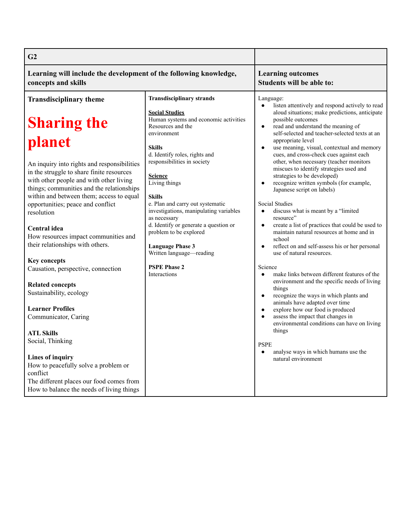| G2                                                                                                                                                                                                                                                                                                                                                                                                                                                                                                                                                                                                                  |                                                                                                                                                                                                                                                                                                                                                                                                                                                                                                                                                   |                                                                                                                                                                                                                                                                                                                                                                                                                                                                                                                                                                                                                                                                                                                                                                                                                                                                                                                                                                                                                                                                                                                                                                                                                                                              |
|---------------------------------------------------------------------------------------------------------------------------------------------------------------------------------------------------------------------------------------------------------------------------------------------------------------------------------------------------------------------------------------------------------------------------------------------------------------------------------------------------------------------------------------------------------------------------------------------------------------------|---------------------------------------------------------------------------------------------------------------------------------------------------------------------------------------------------------------------------------------------------------------------------------------------------------------------------------------------------------------------------------------------------------------------------------------------------------------------------------------------------------------------------------------------------|--------------------------------------------------------------------------------------------------------------------------------------------------------------------------------------------------------------------------------------------------------------------------------------------------------------------------------------------------------------------------------------------------------------------------------------------------------------------------------------------------------------------------------------------------------------------------------------------------------------------------------------------------------------------------------------------------------------------------------------------------------------------------------------------------------------------------------------------------------------------------------------------------------------------------------------------------------------------------------------------------------------------------------------------------------------------------------------------------------------------------------------------------------------------------------------------------------------------------------------------------------------|
| Learning will include the development of the following knowledge,<br>concepts and skills                                                                                                                                                                                                                                                                                                                                                                                                                                                                                                                            |                                                                                                                                                                                                                                                                                                                                                                                                                                                                                                                                                   | <b>Learning outcomes</b><br>Students will be able to:                                                                                                                                                                                                                                                                                                                                                                                                                                                                                                                                                                                                                                                                                                                                                                                                                                                                                                                                                                                                                                                                                                                                                                                                        |
| <b>Transdisciplinary theme</b><br><b>Sharing the</b><br>planet<br>An inquiry into rights and responsibilities<br>in the struggle to share finite resources<br>with other people and with other living<br>things; communities and the relationships<br>within and between them; access to equal<br>opportunities; peace and conflict<br>resolution<br>Central idea<br>How resources impact communities and<br>their relationships with others.<br><b>Key concepts</b><br>Causation, perspective, connection<br><b>Related concepts</b><br>Sustainability, ecology<br><b>Learner Profiles</b><br>Communicator, Caring | <b>Transdisciplinary strands</b><br><b>Social Studies</b><br>Human systems and economic activities<br>Resources and the<br>environment<br><b>Skills</b><br>d. Identify roles, rights and<br>responsibilities in society<br><b>Science</b><br>Living things<br><b>Skills</b><br>e. Plan and carry out systematic<br>investigations, manipulating variables<br>as necessary<br>d. Identify or generate a question or<br>problem to be explored<br><b>Language Phase 3</b><br>Written language—reading<br><b>PSPE Phase 2</b><br><b>Interactions</b> | Language:<br>listen attentively and respond actively to read<br>$\bullet$<br>aloud situations; make predictions, anticipate<br>possible outcomes<br>read and understand the meaning of<br>$\bullet$<br>self-selected and teacher-selected texts at an<br>appropriate level<br>use meaning, visual, contextual and memory<br>$\bullet$<br>cues, and cross-check cues against each<br>other, when necessary (teacher monitors<br>miscues to identify strategies used and<br>strategies to be developed)<br>recognize written symbols (for example,<br>$\bullet$<br>Japanese script on labels)<br><b>Social Studies</b><br>discuss what is meant by a "limited<br>$\bullet$<br>resource"<br>create a list of practices that could be used to<br>$\bullet$<br>maintain natural resources at home and in<br>school<br>reflect on and self-assess his or her personal<br>$\bullet$<br>use of natural resources.<br>Science<br>make links between different features of the<br>$\bullet$<br>environment and the specific needs of living<br>things<br>recognize the ways in which plants and<br>$\bullet$<br>animals have adapted over time<br>explore how our food is produced<br>assess the impact that changes in<br>environmental conditions can have on living |
| <b>ATL Skills</b><br>Social, Thinking<br><b>Lines of inquiry</b><br>How to peacefully solve a problem or<br>conflict<br>The different places our food comes from<br>How to balance the needs of living things                                                                                                                                                                                                                                                                                                                                                                                                       |                                                                                                                                                                                                                                                                                                                                                                                                                                                                                                                                                   | things<br><b>PSPE</b><br>analyse ways in which humans use the<br>natural environment                                                                                                                                                                                                                                                                                                                                                                                                                                                                                                                                                                                                                                                                                                                                                                                                                                                                                                                                                                                                                                                                                                                                                                         |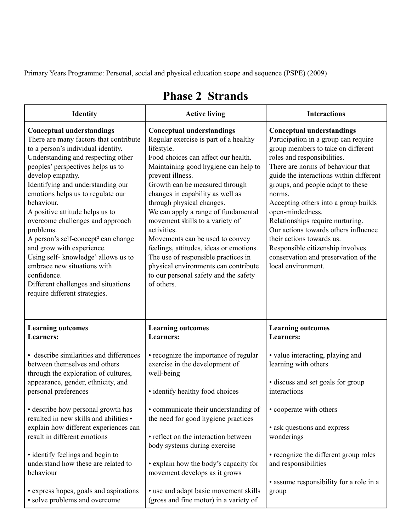Primary Years Programme: Personal, social and physical education scope and sequence (PSPE) (2009)

| <b>Identity</b>                                                                                                                                                                                                                                                                                                                                                                                                                                                                                                                                                                                                                                     | <b>Active living</b>                                                                                                                                                                                                                                                                                                                                                                                                                                                                                                                                                                                       | <b>Interactions</b>                                                                                                                                                                                                                                                                                                                                                                                                                                                                                                                                 |
|-----------------------------------------------------------------------------------------------------------------------------------------------------------------------------------------------------------------------------------------------------------------------------------------------------------------------------------------------------------------------------------------------------------------------------------------------------------------------------------------------------------------------------------------------------------------------------------------------------------------------------------------------------|------------------------------------------------------------------------------------------------------------------------------------------------------------------------------------------------------------------------------------------------------------------------------------------------------------------------------------------------------------------------------------------------------------------------------------------------------------------------------------------------------------------------------------------------------------------------------------------------------------|-----------------------------------------------------------------------------------------------------------------------------------------------------------------------------------------------------------------------------------------------------------------------------------------------------------------------------------------------------------------------------------------------------------------------------------------------------------------------------------------------------------------------------------------------------|
| <b>Conceptual understandings</b><br>There are many factors that contribute<br>to a person's individual identity.<br>Understanding and respecting other<br>peoples' perspectives helps us to<br>develop empathy.<br>Identifying and understanding our<br>emotions helps us to regulate our<br>behaviour.<br>A positive attitude helps us to<br>overcome challenges and approach<br>problems.<br>A person's self-concept <sup>2</sup> can change<br>and grow with experience.<br>Using self-knowledge <sup>3</sup> allows us to<br>embrace new situations with<br>confidence.<br>Different challenges and situations<br>require different strategies. | <b>Conceptual understandings</b><br>Regular exercise is part of a healthy<br>lifestyle.<br>Food choices can affect our health.<br>Maintaining good hygiene can help to<br>prevent illness.<br>Growth can be measured through<br>changes in capability as well as<br>through physical changes.<br>We can apply a range of fundamental<br>movement skills to a variety of<br>activities.<br>Movements can be used to convey<br>feelings, attitudes, ideas or emotions.<br>The use of responsible practices in<br>physical environments can contribute<br>to our personal safety and the safety<br>of others. | <b>Conceptual understandings</b><br>Participation in a group can require<br>group members to take on different<br>roles and responsibilities.<br>There are norms of behaviour that<br>guide the interactions within different<br>groups, and people adapt to these<br>norms.<br>Accepting others into a group builds<br>open-mindedness.<br>Relationships require nurturing.<br>Our actions towards others influence<br>their actions towards us.<br>Responsible citizenship involves<br>conservation and preservation of the<br>local environment. |
| <b>Learning outcomes</b><br><b>Learners:</b>                                                                                                                                                                                                                                                                                                                                                                                                                                                                                                                                                                                                        | <b>Learning outcomes</b><br><b>Learners:</b>                                                                                                                                                                                                                                                                                                                                                                                                                                                                                                                                                               | <b>Learning outcomes</b><br><b>Learners:</b>                                                                                                                                                                                                                                                                                                                                                                                                                                                                                                        |
| • describe similarities and differences<br>between themselves and others<br>through the exploration of cultures,<br>appearance, gender, ethnicity, and<br>personal preferences                                                                                                                                                                                                                                                                                                                                                                                                                                                                      | • recognize the importance of regular<br>exercise in the development of<br>well-being<br>• identify healthy food choices                                                                                                                                                                                                                                                                                                                                                                                                                                                                                   | • value interacting, playing and<br>learning with others<br>• discuss and set goals for group<br>interactions                                                                                                                                                                                                                                                                                                                                                                                                                                       |
| • describe how personal growth has<br>resulted in new skills and abilities •<br>explain how different experiences can<br>result in different emotions<br>· identify feelings and begin to                                                                                                                                                                                                                                                                                                                                                                                                                                                           | • communicate their understanding of<br>the need for good hygiene practices<br>• reflect on the interaction between<br>body systems during exercise                                                                                                                                                                                                                                                                                                                                                                                                                                                        | • cooperate with others<br>• ask questions and express<br>wonderings<br>• recognize the different group roles                                                                                                                                                                                                                                                                                                                                                                                                                                       |
| understand how these are related to<br>behaviour<br>• express hopes, goals and aspirations                                                                                                                                                                                                                                                                                                                                                                                                                                                                                                                                                          | • explain how the body's capacity for<br>movement develops as it grows<br>• use and adapt basic movement skills                                                                                                                                                                                                                                                                                                                                                                                                                                                                                            | and responsibilities<br>• assume responsibility for a role in a<br>group                                                                                                                                                                                                                                                                                                                                                                                                                                                                            |

(gross and fine motor) in a variety of

• solve problems and overcome

## **Phase 2 Strands**